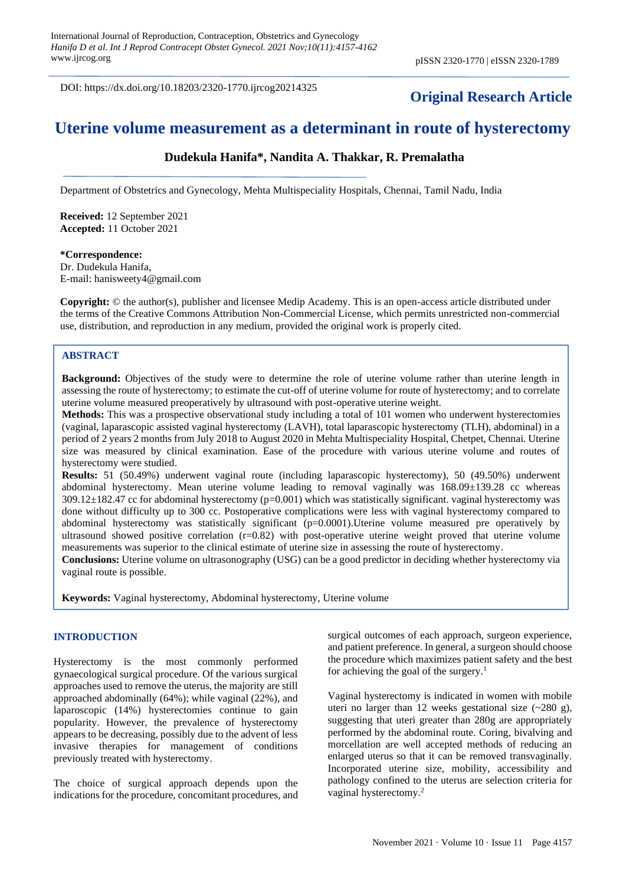DOI: https://dx.doi.org/10.18203/2320-1770.ijrcog20214325

# **Original Research Article**

# **Uterine volume measurement as a determinant in route of hysterectomy**

## **Dudekula Hanifa\*, Nandita A. Thakkar, R. Premalatha**

Department of Obstetrics and Gynecology, Mehta Multispeciality Hospitals, Chennai, Tamil Nadu, India

**Received:** 12 September 2021 **Accepted:** 11 October 2021

# **\*Correspondence:**

Dr. Dudekula Hanifa, E-mail: hanisweety4@gmail.com

**Copyright:** © the author(s), publisher and licensee Medip Academy. This is an open-access article distributed under the terms of the Creative Commons Attribution Non-Commercial License, which permits unrestricted non-commercial use, distribution, and reproduction in any medium, provided the original work is properly cited.

## **ABSTRACT**

**Background:** Objectives of the study were to determine the role of uterine volume rather than uterine length in assessing the route of hysterectomy; to estimate the cut-off of uterine volume for route of hysterectomy; and to correlate uterine volume measured preoperatively by ultrasound with post-operative uterine weight.

**Methods:** This was a prospective observational study including a total of 101 women who underwent hysterectomies (vaginal, laparascopic assisted vaginal hysterectomy (LAVH), total laparascopic hysterectomy (TLH), abdominal) in a period of 2 years 2 months from July 2018 to August 2020 in Mehta Multispeciality Hospital, Chetpet, Chennai. Uterine size was measured by clinical examination. Ease of the procedure with various uterine volume and routes of hysterectomy were studied.

**Results:** 51 (50.49%) underwent vaginal route (including laparascopic hysterectomy), 50 (49.50%) underwent abdominal hysterectomy. Mean uterine volume leading to removal vaginally was 168.09±139.28 cc whereas 309.12±182.47 cc for abdominal hysterectomy (p=0.001) which was statistically significant. vaginal hysterectomy was done without difficulty up to 300 cc. Postoperative complications were less with vaginal hysterectomy compared to abdominal hysterectomy was statistically significant (p=0.0001).Uterine volume measured pre operatively by ultrasound showed positive correlation (r=0.82) with post-operative uterine weight proved that uterine volume measurements was superior to the clinical estimate of uterine size in assessing the route of hysterectomy.

**Conclusions:** Uterine volume on ultrasonography (USG) can be a good predictor in deciding whether hysterectomy via vaginal route is possible.

**Keywords:** Vaginal hysterectomy, Abdominal hysterectomy, Uterine volume

### **INTRODUCTION**

Hysterectomy is the most commonly performed gynaecological surgical procedure. Of the various surgical approaches used to remove the uterus, the majority are still approached abdominally (64%); while vaginal (22%), and laparoscopic (14%) hysterectomies continue to gain popularity. However, the prevalence of hysterectomy appears to be decreasing, possibly due to the advent of less invasive therapies for management of conditions previously treated with hysterectomy.

The choice of surgical approach depends upon the indications for the procedure, concomitant procedures, and surgical outcomes of each approach, surgeon experience, and patient preference. In general, a surgeon should choose the procedure which maximizes patient safety and the best for achieving the goal of the surgery.<sup>1</sup>

Vaginal hysterectomy is indicated in women with mobile uteri no larger than 12 weeks gestational size  $(-280 \text{ g})$ , suggesting that uteri greater than 280g are appropriately performed by the abdominal route. Coring, bivalving and morcellation are well accepted methods of reducing an enlarged uterus so that it can be removed transvaginally. Incorporated uterine size, mobility, accessibility and pathology confined to the uterus are selection criteria for vaginal hysterectomy.<sup>2</sup>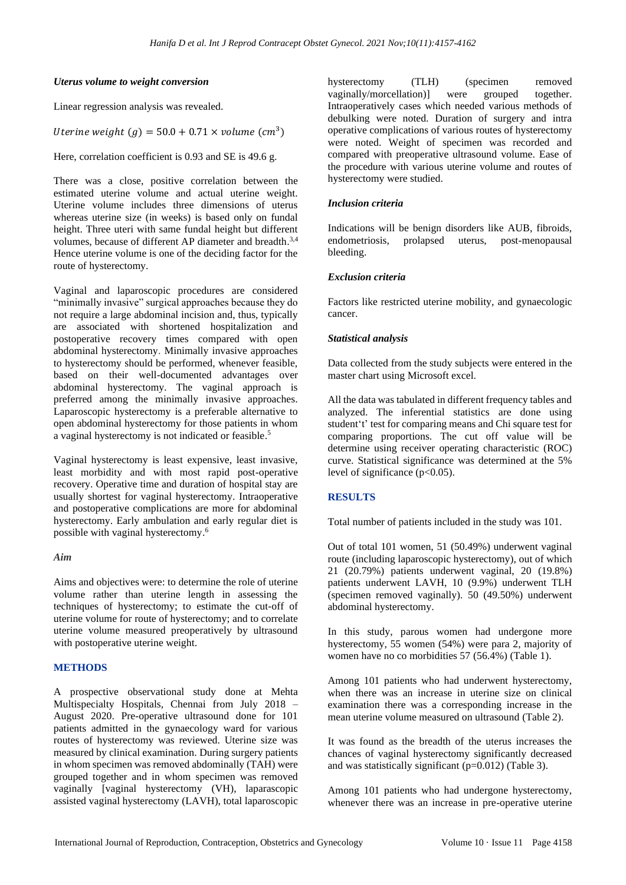### *Uterus volume to weight conversion*

Linear regression analysis was revealed.

## Uterine weight  $(g) = 50.0 + 0.71 \times volume$  (cm<sup>3</sup>)

Here, correlation coefficient is 0.93 and SE is 49.6 g.

There was a close, positive correlation between the estimated uterine volume and actual uterine weight. Uterine volume includes three dimensions of uterus whereas uterine size (in weeks) is based only on fundal height. Three uteri with same fundal height but different volumes, because of different AP diameter and breadth.<sup>3,4</sup> Hence uterine volume is one of the deciding factor for the route of hysterectomy.

Vaginal and laparoscopic procedures are considered "minimally invasive" surgical approaches because they do not require a large abdominal incision and, thus, typically are associated with shortened hospitalization and postoperative recovery times compared with open abdominal hysterectomy. Minimally invasive approaches to hysterectomy should be performed, whenever feasible, based on their well-documented advantages over abdominal hysterectomy. The vaginal approach is preferred among the minimally invasive approaches. Laparoscopic hysterectomy is a preferable alternative to open abdominal hysterectomy for those patients in whom a vaginal hysterectomy is not indicated or feasible. 5

Vaginal hysterectomy is least expensive, least invasive, least morbidity and with most rapid post-operative recovery. Operative time and duration of hospital stay are usually shortest for vaginal hysterectomy. Intraoperative and postoperative complications are more for abdominal hysterectomy. Early ambulation and early regular diet is possible with vaginal hysterectomy. 6

#### *Aim*

Aims and objectives were: to determine the role of uterine volume rather than uterine length in assessing the techniques of hysterectomy; to estimate the cut-off of uterine volume for route of hysterectomy; and to correlate uterine volume measured preoperatively by ultrasound with postoperative uterine weight.

## **METHODS**

A prospective observational study done at Mehta Multispecialty Hospitals, Chennai from July 2018 – August 2020. Pre-operative ultrasound done for 101 patients admitted in the gynaecology ward for various routes of hysterectomy was reviewed. Uterine size was measured by clinical examination. During surgery patients in whom specimen was removed abdominally (TAH) were grouped together and in whom specimen was removed vaginally [vaginal hysterectomy (VH), laparascopic assisted vaginal hysterectomy (LAVH), total laparoscopic hysterectomy (TLH) (specimen removed vaginally/morcellation)] were grouped together. Intraoperatively cases which needed various methods of debulking were noted. Duration of surgery and intra operative complications of various routes of hysterectomy were noted. Weight of specimen was recorded and compared with preoperative ultrasound volume. Ease of the procedure with various uterine volume and routes of hysterectomy were studied.

### *Inclusion criteria*

Indications will be benign disorders like AUB, fibroids, endometriosis, prolapsed uterus, post-menopausal bleeding.

## *Exclusion criteria*

Factors like restricted uterine mobility, and gynaecologic cancer.

#### *Statistical analysis*

Data collected from the study subjects were entered in the master chart using Microsoft excel.

All the data was tabulated in different frequency tables and analyzed. The inferential statistics are done using student't' test for comparing means and Chi square test for comparing proportions. The cut off value will be determine using receiver operating characteristic (ROC) curve. Statistical significance was determined at the 5% level of significance  $(p<0.05)$ .

## **RESULTS**

Total number of patients included in the study was 101.

Out of total 101 women, 51 (50.49%) underwent vaginal route (including laparoscopic hysterectomy), out of which 21 (20.79%) patients underwent vaginal, 20 (19.8%) patients underwent LAVH, 10 (9.9%) underwent TLH (specimen removed vaginally). 50 (49.50%) underwent abdominal hysterectomy.

In this study, parous women had undergone more hysterectomy, 55 women (54%) were para 2, majority of women have no co morbidities 57 (56.4%) (Table 1).

Among 101 patients who had underwent hysterectomy, when there was an increase in uterine size on clinical examination there was a corresponding increase in the mean uterine volume measured on ultrasound (Table 2).

It was found as the breadth of the uterus increases the chances of vaginal hysterectomy significantly decreased and was statistically significant  $(p=0.012)$  (Table 3).

Among 101 patients who had undergone hysterectomy, whenever there was an increase in pre-operative uterine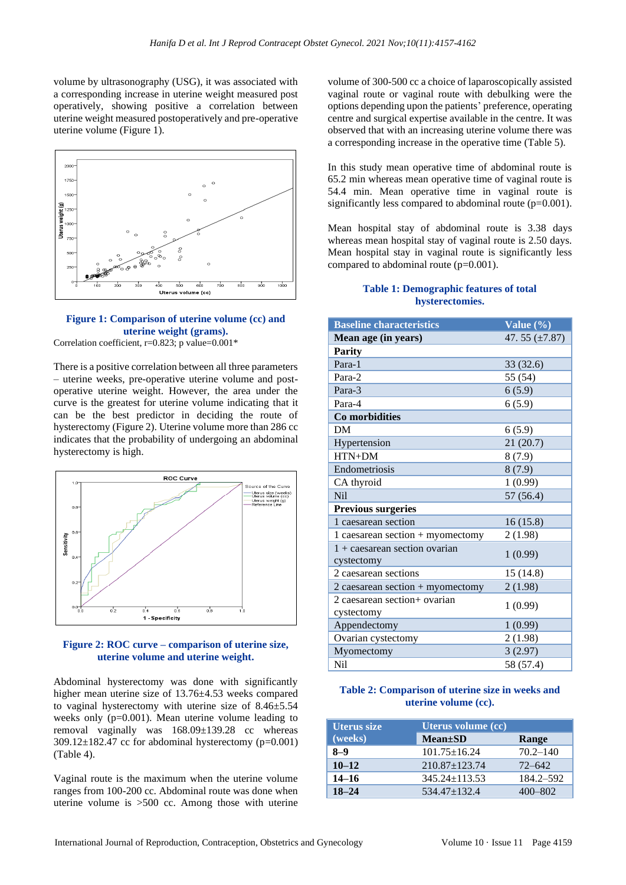volume by ultrasonography (USG), it was associated with a corresponding increase in uterine weight measured post operatively, showing positive a correlation between uterine weight measured postoperatively and pre-operative uterine volume (Figure 1).



#### **Figure 1: Comparison of uterine volume (cc) and uterine weight (grams).** Correlation coefficient, r=0.823; p value=0.001\*

There is a positive correlation between all three parameters – uterine weeks, pre-operative uterine volume and postoperative uterine weight. However, the area under the curve is the greatest for uterine volume indicating that it can be the best predictor in deciding the route of hysterectomy (Figure 2). Uterine volume more than 286 cc indicates that the probability of undergoing an abdominal hysterectomy is high.



#### **Figure 2: ROC curve – comparison of uterine size, uterine volume and uterine weight.**

Abdominal hysterectomy was done with significantly higher mean uterine size of 13.76±4.53 weeks compared to vaginal hysterectomy with uterine size of 8.46±5.54 weeks only (p=0.001). Mean uterine volume leading to removal vaginally was 168.09±139.28 cc whereas  $309.12 \pm 182.47$  cc for abdominal hysterectomy (p=0.001) (Table 4).

Vaginal route is the maximum when the uterine volume ranges from 100-200 cc. Abdominal route was done when uterine volume is >500 cc. Among those with uterine

volume of 300-500 cc a choice of laparoscopically assisted vaginal route or vaginal route with debulking were the options depending upon the patients' preference, operating centre and surgical expertise available in the centre. It was observed that with an increasing uterine volume there was a corresponding increase in the operative time (Table 5).

In this study mean operative time of abdominal route is 65.2 min whereas mean operative time of vaginal route is 54.4 min. Mean operative time in vaginal route is significantly less compared to abdominal route (p=0.001).

Mean hospital stay of abdominal route is 3.38 days whereas mean hospital stay of vaginal route is 2.50 days. Mean hospital stay in vaginal route is significantly less compared to abdominal route (p=0.001).

### **Table 1: Demographic features of total hysterectomies.**

| <b>Baseline characteristics</b>                     | Value (%)          |
|-----------------------------------------------------|--------------------|
| Mean age (in years)                                 | 47.55 $(\pm 7.87)$ |
| <b>Parity</b>                                       |                    |
| Para-1                                              | 33 (32.6)          |
| Para-2                                              | 55 (54)            |
| Para-3                                              | 6(5.9)             |
| Para-4                                              | 6(5.9)             |
| Co morbidities                                      |                    |
| DM                                                  | 6(5.9)             |
| Hypertension                                        | 21(20.7)           |
| HTN+DM                                              | 8(7.9)             |
| Endometriosis                                       | 8(7.9)             |
| CA thyroid                                          | 1(0.99)            |
| N <sub>il</sub>                                     | 57 (56.4)          |
| <b>Previous surgeries</b>                           |                    |
| 1 caesarean section                                 | 16(15.8)           |
| 1 caesarean section $+$ myomectomy                  | 2(1.98)            |
| $1 + \text{caesarea}$ section ovarian<br>cystectomy | 1(0.99)            |
| 2 caesarean sections                                | 15 (14.8)          |
| 2 caesarean section + myomectomy                    | 2(1.98)            |
| 2 caesarean section+ ovarian<br>cystectomy          | 1(0.99)            |
| Appendectomy                                        | 1(0.99)            |
| Ovarian cystectomy                                  | 2(1.98)            |
| Myomectomy                                          | 3(2.97)            |
| Nil                                                 | 58 (57.4)          |

## **Table 2: Comparison of uterine size in weeks and uterine volume (cc).**

| <b>Uterus size</b> | Uterus volume (cc)  |              |  |  |  |
|--------------------|---------------------|--------------|--|--|--|
| (weeks)            | <b>Mean</b> ±SD     | Range        |  |  |  |
| $8-9$              | $101.75 \pm 16.24$  | $70.2 - 140$ |  |  |  |
| $10 - 12$          | $210.87 + 123.74$   | $72 - 642$   |  |  |  |
| $14 - 16$          | $345.24 \pm 113.53$ | 184.2–592    |  |  |  |
| $18 - 24$          | $534.47 \pm 132.4$  | 400-802      |  |  |  |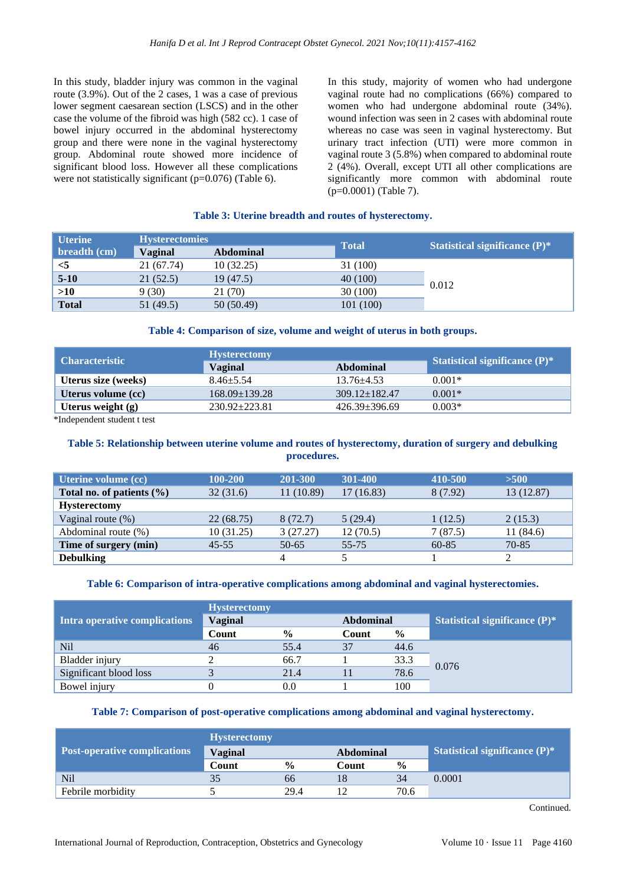In this study, bladder injury was common in the vaginal route (3.9%). Out of the 2 cases, 1 was a case of previous lower segment caesarean section (LSCS) and in the other case the volume of the fibroid was high (582 cc). 1 case of bowel injury occurred in the abdominal hysterectomy group and there were none in the vaginal hysterectomy group. Abdominal route showed more incidence of significant blood loss. However all these complications were not statistically significant ( $p=0.076$ ) (Table 6).

In this study, majority of women who had undergone vaginal route had no complications (66%) compared to women who had undergone abdominal route (34%). wound infection was seen in 2 cases with abdominal route whereas no case was seen in vaginal hysterectomy. But urinary tract infection (UTI) were more common in vaginal route 3 (5.8%) when compared to abdominal route 2 (4%). Overall, except UTI all other complications are significantly more common with abdominal route (p=0.0001) (Table 7).

### **Table 3: Uterine breadth and routes of hysterectomy.**

| <b>Uterine</b> | <b>Hysterectomies</b> |                  |              |                                  |  |
|----------------|-----------------------|------------------|--------------|----------------------------------|--|
| breadth (cm)   | Vaginal               | <b>Abdominal</b> | <b>Total</b> | Statistical significance $(P)^*$ |  |
| $<$ 5          | 21 (67.74)            | 10(32.25)        | 31 (100)     |                                  |  |
| $5 - 10$       | 21(52.5)              | 19(47.5)         | 40 (100)     |                                  |  |
| >10            | 9(30)                 | 21 (70)          | 30(100)      | 0.012                            |  |
| <b>Total</b>   | 51 (49.5)             | 50 (50.49)       | 101(100)     |                                  |  |

### **Table 4: Comparison of size, volume and weight of uterus in both groups.**

|                     | <b>Hysterectomy</b> |                     |                                       |  |
|---------------------|---------------------|---------------------|---------------------------------------|--|
| Characteristic      | <b>Vaginal</b>      | Abdominal           | <b>Statistical significance (P)</b> * |  |
| Uterus size (weeks) | $8.46 + 5.54$       | $13.76 + 4.53$      | $0.001*$                              |  |
| Uterus volume (cc)  | $168.09 + 139.28$   | $309.12 \pm 182.47$ | $0.001*$                              |  |
| Uterus weight $(g)$ | $230.92 + 223.81$   | $426.39+396.69$     | $0.003*$                              |  |

\*Independent student t test

## **Table 5: Relationship between uterine volume and routes of hysterectomy, duration of surgery and debulking procedures.**

| Uterine volume (cc)           | 100-200    | <b>201-300</b> | 301-400   | 410-500   | $>500$     |
|-------------------------------|------------|----------------|-----------|-----------|------------|
| Total no. of patients $(\% )$ | 32(31.6)   | 11 (10.89)     | 17(16.83) | 8 (7.92)  | 13 (12.87) |
| <b>Hysterectomy</b>           |            |                |           |           |            |
| Vaginal route $(\%)$          | 22(68.75)  | 8 (72.7)       | 5(29.4)   | 1(12.5)   | 2(15.3)    |
| Abdominal route (%)           | 10 (31.25) | 3(27.27)       | 12(70.5)  | 7(87.5)   | 11(84.6)   |
| Time of surgery (min)         | $45 - 55$  | $50 - 65$      | $55 - 75$ | $60 - 85$ | 70-85      |
| <b>Debulking</b>              |            | 4              |           |           |            |

## **Table 6: Comparison of intra-operative complications among abdominal and vaginal hysterectomies.**

|                               | <b>Hysterectomy</b> |               |                  |               |                                      |  |
|-------------------------------|---------------------|---------------|------------------|---------------|--------------------------------------|--|
| Intra operative complications | <b>Vaginal</b>      |               | <b>Abdominal</b> |               | <b>Statistical significance (P)*</b> |  |
|                               | Count               | $\frac{0}{0}$ | Count            | $\frac{6}{9}$ |                                      |  |
| Nil                           | 46                  | 55.4          | 37               | 44.6          |                                      |  |
| Bladder injury                |                     | 66.7          |                  | 33.3          | 0.076                                |  |
| Significant blood loss        |                     | 21.4          |                  | 78.6          |                                      |  |
| Bowel injury                  |                     | 0.0           |                  | 100           |                                      |  |

#### **Table 7: Comparison of post-operative complications among abdominal and vaginal hysterectomy.**

|                                     | <b>Hysterectomy</b> |               |                  |               |                                  |
|-------------------------------------|---------------------|---------------|------------------|---------------|----------------------------------|
| <b>Post-operative complications</b> | <b>Vaginal</b>      |               | <b>Abdominal</b> |               | Statistical significance $(P)^*$ |
|                                     | Count               | $\frac{6}{6}$ | Count            | $\frac{0}{0}$ |                                  |
| N <sub>il</sub>                     |                     | 66            | 18               | 34            | $0.0001\,$                       |
| Febrile morbidity                   |                     | 29.4          |                  | 70.6          |                                  |

Continued.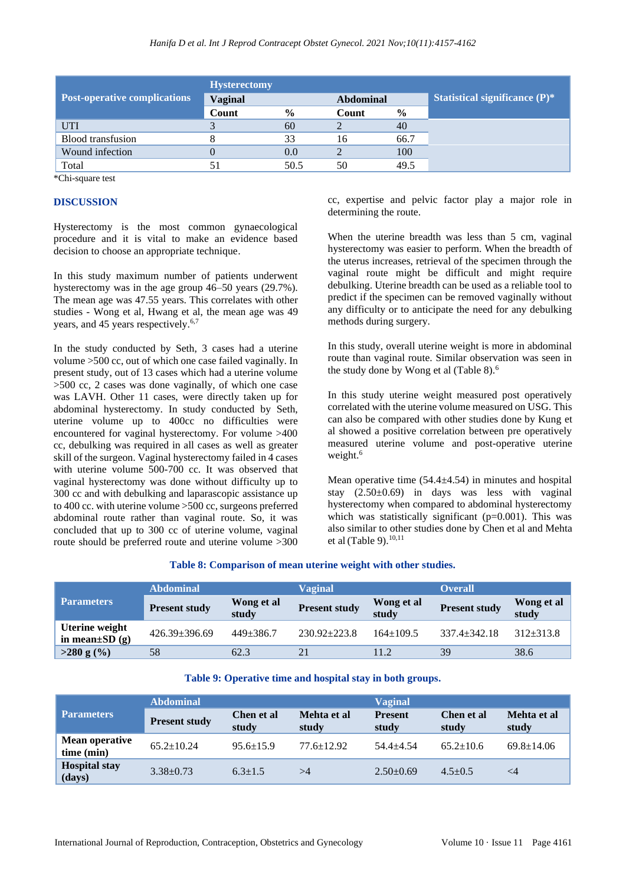|                                     | <b>Hysterectomy</b> |               |                  |               |                                  |  |
|-------------------------------------|---------------------|---------------|------------------|---------------|----------------------------------|--|
| <b>Post-operative complications</b> | <b>Vaginal</b>      |               | <b>Abdominal</b> |               | Statistical significance $(P)^*$ |  |
|                                     | Count               | $\frac{6}{9}$ | Count            | $\frac{6}{9}$ |                                  |  |
| <b>UTI</b>                          |                     | 60            |                  | 40            |                                  |  |
| <b>Blood</b> transfusion            |                     | 33            | 16               | 66.7          |                                  |  |
| Wound infection                     |                     | 0.0           |                  | 100           |                                  |  |
| Total                               |                     | 50.5          | 50               | 49.5          |                                  |  |

\*Chi-square test

## **DISCUSSION**

Hysterectomy is the most common gynaecological procedure and it is vital to make an evidence based decision to choose an appropriate technique.

In this study maximum number of patients underwent hysterectomy was in the age group 46–50 years (29.7%). The mean age was 47.55 years. This correlates with other studies - Wong et al, Hwang et al, the mean age was 49 years, and 45 years respectively.<sup>6,7</sup>

In the study conducted by Seth, 3 cases had a uterine volume >500 cc, out of which one case failed vaginally. In present study, out of 13 cases which had a uterine volume >500 cc, 2 cases was done vaginally, of which one case was LAVH. Other 11 cases, were directly taken up for abdominal hysterectomy. In study conducted by Seth, uterine volume up to 400cc no difficulties were encountered for vaginal hysterectomy. For volume >400 cc, debulking was required in all cases as well as greater skill of the surgeon. Vaginal hysterectomy failed in 4 cases with uterine volume 500-700 cc. It was observed that vaginal hysterectomy was done without difficulty up to 300 cc and with debulking and laparascopic assistance up to 400 cc. with uterine volume >500 cc, surgeons preferred abdominal route rather than vaginal route. So, it was concluded that up to 300 cc of uterine volume, vaginal route should be preferred route and uterine volume >300 cc, expertise and pelvic factor play a major role in determining the route.

When the uterine breadth was less than 5 cm, vaginal hysterectomy was easier to perform. When the breadth of the uterus increases, retrieval of the specimen through the vaginal route might be difficult and might require debulking. Uterine breadth can be used as a reliable tool to predict if the specimen can be removed vaginally without any difficulty or to anticipate the need for any debulking methods during surgery.

In this study, overall uterine weight is more in abdominal route than vaginal route. Similar observation was seen in the study done by Wong et al (Table 8).<sup>6</sup>

In this study uterine weight measured post operatively correlated with the uterine volume measured on USG. This can also be compared with other studies done by Kung et al showed a positive correlation between pre operatively measured uterine volume and post-operative uterine weight.<sup>6</sup>

Mean operative time  $(54.4 \pm 4.54)$  in minutes and hospital stay (2.50±0.69) in days was less with vaginal hysterectomy when compared to abdominal hysterectomy which was statistically significant  $(p=0.001)$ . This was also similar to other studies done by Chen et al and Mehta et al (Table 9). $10,11$ 

## **Table 8: Comparison of mean uterine weight with other studies.**

|                                       | <b>Abdominal</b>     |                     | <b>Vaginal</b>       |                     | <b>Overall</b>       |                     |
|---------------------------------------|----------------------|---------------------|----------------------|---------------------|----------------------|---------------------|
| <b>Parameters</b>                     | <b>Present study</b> | Wong et al<br>study | <b>Present study</b> | Wong et al<br>study | <b>Present study</b> | Wong et al<br>study |
| Uterine weight<br>in mean $\pm SD(g)$ | $426.39 + 396.69$    | $449 + 386.7$       | $230.92 + 223.8$     | $164 \pm 109.5$     | $337.4 + 342.18$     | $312 + 313.8$       |
| $>280$ g $(\%)$                       | 58                   | 62.3                |                      | 11.2                | 39                   | 38.6                |

#### **Table 9: Operative time and hospital stay in both groups.**

|                                     | <b>Abdominal</b>     |                     |                      | Vaginal                 |                     |                      |  |
|-------------------------------------|----------------------|---------------------|----------------------|-------------------------|---------------------|----------------------|--|
| <b>Parameters</b>                   | <b>Present study</b> | Chen et al<br>study | Mehta et al<br>study | <b>Present</b><br>study | Chen et al<br>study | Mehta et al<br>study |  |
| <b>Mean operative</b><br>time (min) | $65.2 \pm 10.24$     | $95.6 \pm 15.9$     | $77.6 + 12.92$       | $54.4 + 4.54$           | $65.2 + 10.6$       | $69.8 \pm 14.06$     |  |
| <b>Hospital stay</b><br>(days)      | $3.38 \pm 0.73$      | $6.3 + 1.5$         | >4                   | $2.50\pm0.69$           | $4.5 + 0.5$         | $\leq$ 4             |  |